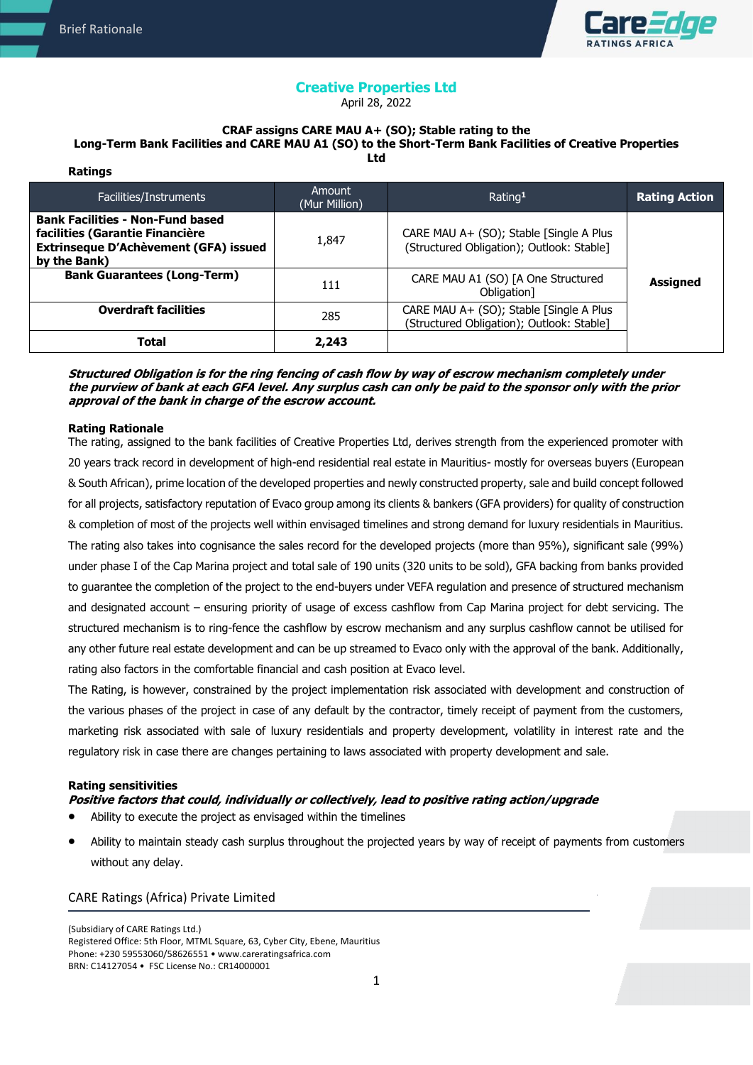

# **Creative Properties Ltd**

April 28, 2022

#### **CRAF assigns CARE MAU A+ (SO); Stable rating to the Long-Term Bank Facilities and CARE MAU A1 (SO) to the Short-Term Bank Facilities of Creative Properties Ltd**

| Ratings                                                                                                                             |                         |                                                                                      |                      |
|-------------------------------------------------------------------------------------------------------------------------------------|-------------------------|--------------------------------------------------------------------------------------|----------------------|
| Facilities/Instruments                                                                                                              | Amount<br>(Mur Million) | Rating <sup>1</sup>                                                                  | <b>Rating Action</b> |
| <b>Bank Facilities - Non-Fund based</b><br>facilities (Garantie Financière<br>Extrinseque D'Achèvement (GFA) issued<br>by the Bank) | 1,847                   | CARE MAU A+ (SO); Stable [Single A Plus<br>(Structured Obligation); Outlook: Stable] |                      |
| <b>Bank Guarantees (Long-Term)</b>                                                                                                  | 111                     | CARE MAU A1 (SO) [A One Structured<br>Obligation]                                    | <b>Assigned</b>      |
| <b>Overdraft facilities</b>                                                                                                         | 285                     | CARE MAU A+ (SO); Stable [Single A Plus<br>(Structured Obligation); Outlook: Stable] |                      |
| <b>Total</b>                                                                                                                        | 2,243                   |                                                                                      |                      |

**Structured Obligation is for the ring fencing of cash flow by way of escrow mechanism completely under the purview of bank at each GFA level. Any surplus cash can only be paid to the sponsor only with the prior approval of the bank in charge of the escrow account.** 

## **Rating Rationale**

The rating, assigned to the bank facilities of Creative Properties Ltd, derives strength from the experienced promoter with 20 years track record in development of high-end residential real estate in Mauritius- mostly for overseas buyers (European & South African), prime location of the developed properties and newly constructed property, sale and build concept followed for all projects, satisfactory reputation of Evaco group among its clients & bankers (GFA providers) for quality of construction & completion of most of the projects well within envisaged timelines and strong demand for luxury residentials in Mauritius. The rating also takes into cognisance the sales record for the developed projects (more than 95%), significant sale (99%) under phase I of the Cap Marina project and total sale of 190 units (320 units to be sold), GFA backing from banks provided to guarantee the completion of the project to the end-buyers under VEFA regulation and presence of structured mechanism and designated account – ensuring priority of usage of excess cashflow from Cap Marina project for debt servicing. The structured mechanism is to ring-fence the cashflow by escrow mechanism and any surplus cashflow cannot be utilised for any other future real estate development and can be up streamed to Evaco only with the approval of the bank. Additionally, rating also factors in the comfortable financial and cash position at Evaco level.

The Rating, is however, constrained by the project implementation risk associated with development and construction of the various phases of the project in case of any default by the contractor, timely receipt of payment from the customers, marketing risk associated with sale of luxury residentials and property development, volatility in interest rate and the regulatory risk in case there are changes pertaining to laws associated with property development and sale.

## **Rating sensitivities**

# **Positive factors that could, individually or collectively, lead to positive rating action/upgrade**

- Ability to execute the project as envisaged within the timelines
- Ability to maintain steady cash surplus throughout the projected years by way of receipt of payments from customers without any delay.

## CARE Ratings (Africa) Private Limited

(Subsidiary of CARE Ratings Ltd.) Registered Office: 5th Floor, MTML Square, 63, Cyber City, Ebene, Mauritius Phone: +230 59553060/58626551 • www.careratingsafrica.com BRN: C14127054 • FSC License No.: CR14000001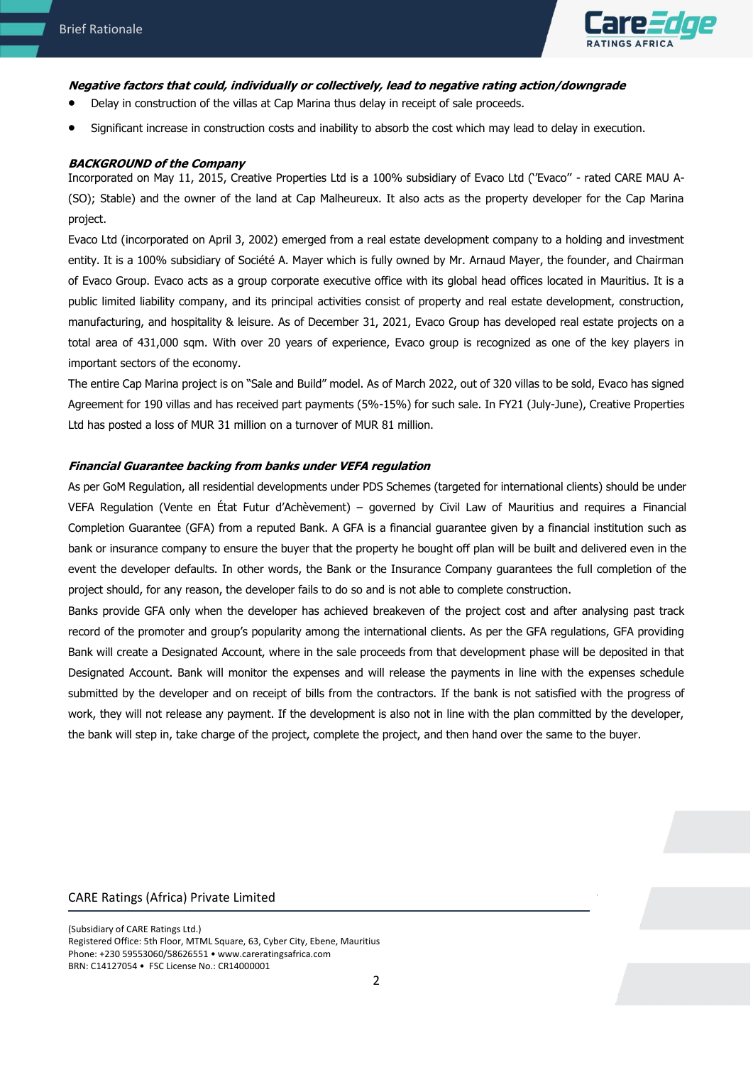

# **Negative factors that could, individually or collectively, lead to negative rating action/downgrade**

- Delay in construction of the villas at Cap Marina thus delay in receipt of sale proceeds.
- Significant increase in construction costs and inability to absorb the cost which may lead to delay in execution.

# **BACKGROUND of the Company**

Incorporated on May 11, 2015, Creative Properties Ltd is a 100% subsidiary of Evaco Ltd (''Evaco'' - rated CARE MAU A- (SO); Stable) and the owner of the land at Cap Malheureux. It also acts as the property developer for the Cap Marina project.

Evaco Ltd (incorporated on April 3, 2002) emerged from a real estate development company to a holding and investment entity. It is a 100% subsidiary of Société A. Mayer which is fully owned by Mr. Arnaud Mayer, the founder, and Chairman of Evaco Group. Evaco acts as a group corporate executive office with its global head offices located in Mauritius. It is a public limited liability company, and its principal activities consist of property and real estate development, construction, manufacturing, and hospitality & leisure. As of December 31, 2021, Evaco Group has developed real estate projects on a total area of 431,000 sqm. With over 20 years of experience, Evaco group is recognized as one of the key players in important sectors of the economy.

The entire Cap Marina project is on "Sale and Build" model. As of March 2022, out of 320 villas to be sold, Evaco has signed Agreement for 190 villas and has received part payments (5%-15%) for such sale. In FY21 (July-June), Creative Properties Ltd has posted a loss of MUR 31 million on a turnover of MUR 81 million.

## **Financial Guarantee backing from banks under VEFA regulation**

As per GoM Regulation, all residential developments under PDS Schemes (targeted for international clients) should be under VEFA Regulation (Vente en État Futur d'Achèvement) – governed by Civil Law of Mauritius and requires a Financial Completion Guarantee (GFA) from a reputed Bank. A GFA is a financial guarantee given by a financial institution such as bank or insurance company to ensure the buyer that the property he bought off plan will be built and delivered even in the event the developer defaults. In other words, the Bank or the Insurance Company guarantees the full completion of the project should, for any reason, the developer fails to do so and is not able to complete construction.

Banks provide GFA only when the developer has achieved breakeven of the project cost and after analysing past track record of the promoter and group's popularity among the international clients. As per the GFA regulations, GFA providing Bank will create a Designated Account, where in the sale proceeds from that development phase will be deposited in that Designated Account. Bank will monitor the expenses and will release the payments in line with the expenses schedule submitted by the developer and on receipt of bills from the contractors. If the bank is not satisfied with the progress of work, they will not release any payment. If the development is also not in line with the plan committed by the developer, the bank will step in, take charge of the project, complete the project, and then hand over the same to the buyer.

## CARE Ratings (Africa) Private Limited

(Subsidiary of CARE Ratings Ltd.) Registered Office: 5th Floor, MTML Square, 63, Cyber City, Ebene, Mauritius Phone: +230 59553060/58626551 • www.careratingsafrica.com BRN: C14127054 • FSC License No.: CR14000001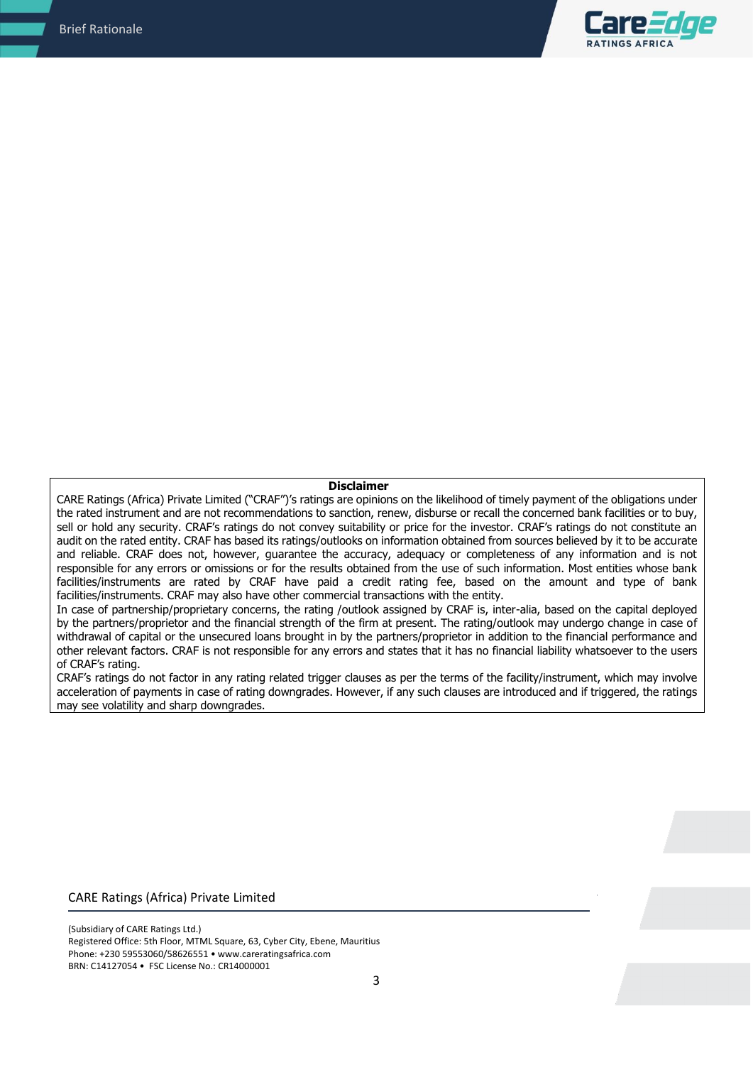

#### **Disclaimer**

CARE Ratings (Africa) Private Limited ("CRAF")'s ratings are opinions on the likelihood of timely payment of the obligations under the rated instrument and are not recommendations to sanction, renew, disburse or recall the concerned bank facilities or to buy, sell or hold any security. CRAF's ratings do not convey suitability or price for the investor. CRAF's ratings do not constitute an audit on the rated entity. CRAF has based its ratings/outlooks on information obtained from sources believed by it to be accurate and reliable. CRAF does not, however, guarantee the accuracy, adequacy or completeness of any information and is not responsible for any errors or omissions or for the results obtained from the use of such information. Most entities whose bank facilities/instruments are rated by CRAF have paid a credit rating fee, based on the amount and type of bank facilities/instruments. CRAF may also have other commercial transactions with the entity.

In case of partnership/proprietary concerns, the rating /outlook assigned by CRAF is, inter-alia, based on the capital deployed by the partners/proprietor and the financial strength of the firm at present. The rating/outlook may undergo change in case of withdrawal of capital or the unsecured loans brought in by the partners/proprietor in addition to the financial performance and other relevant factors. CRAF is not responsible for any errors and states that it has no financial liability whatsoever to the users of CRAF's rating.

CRAF's ratings do not factor in any rating related trigger clauses as per the terms of the facility/instrument, which may involve acceleration of payments in case of rating downgrades. However, if any such clauses are introduced and if triggered, the ratings may see volatility and sharp downgrades.

#### CARE Ratings (Africa) Private Limited

(Subsidiary of CARE Ratings Ltd.) Registered Office: 5th Floor, MTML Square, 63, Cyber City, Ebene, Mauritius Phone: +230 59553060/58626551 • www.careratingsafrica.com BRN: C14127054 • FSC License No.: CR14000001